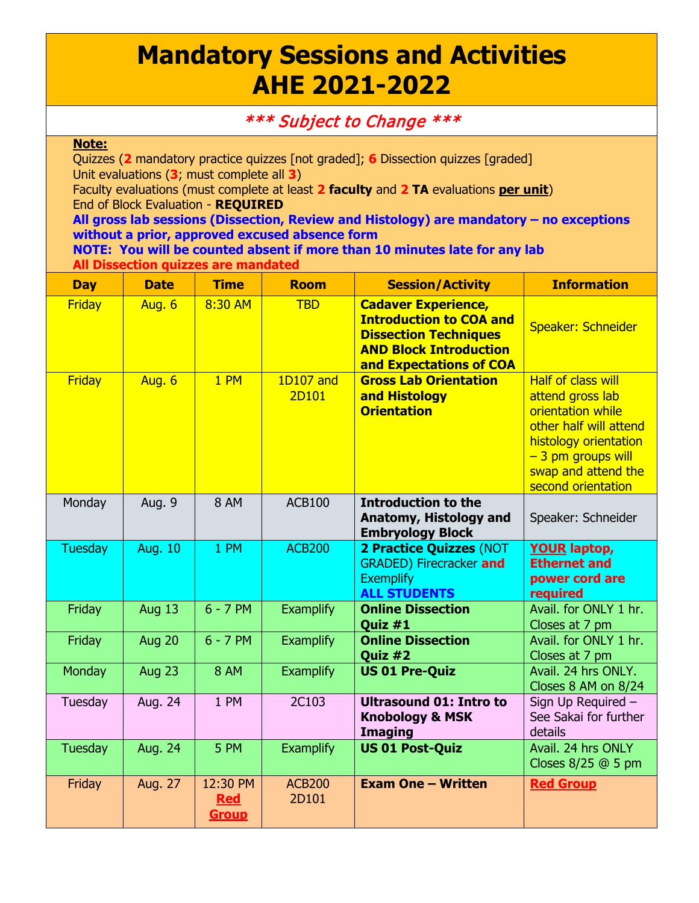## **Mandatory Sessions and Activities AHE 2021-2022**

## \*\*\* Subject to Change \*\*\*

## **Note:**

Quizzes (**2** mandatory practice quizzes [not graded]; **6** Dissection quizzes [graded] Unit evaluations (**3**; must complete all **3**)

Faculty evaluations (must complete at least **2 faculty** and **2 TA** evaluations **per unit**) End of Block Evaluation - **REQUIRED**

## **All gross lab sessions (Dissection, Review and Histology) are mandatory – no exceptions without a prior, approved excused absence form**

**NOTE: You will be counted absent if more than 10 minutes late for any lab All Dissection quizzes are mandated**

| <b>Day</b>    | <b>Date</b>    | <b>Time</b>                            | <b>Room</b>            | <b>Session/Activity</b>                                                                                                                                  | <b>Information</b>                                                                                                                                                                        |
|---------------|----------------|----------------------------------------|------------------------|----------------------------------------------------------------------------------------------------------------------------------------------------------|-------------------------------------------------------------------------------------------------------------------------------------------------------------------------------------------|
| <b>Friday</b> | Aug. 6         | 8:30 AM                                | <b>TBD</b>             | <b>Cadaver Experience,</b><br><b>Introduction to COA and</b><br><b>Dissection Techniques</b><br><b>AND Block Introduction</b><br>and Expectations of COA | Speaker: Schneider                                                                                                                                                                        |
| <b>Friday</b> | <b>Aug. 6</b>  | 1 PM                                   | 1D107 and<br>2D101     | <b>Gross Lab Orientation</b><br>and Histology<br><b>Orientation</b>                                                                                      | <b>Half of class will</b><br>attend gross lab<br>orientation while<br>other half will attend<br>histology orientation<br>$-3$ pm groups will<br>swap and attend the<br>second orientation |
| Monday        | Aug. 9         | <b>8 AM</b>                            | <b>ACB100</b>          | <b>Introduction to the</b><br>Anatomy, Histology and<br><b>Embryology Block</b>                                                                          | Speaker: Schneider                                                                                                                                                                        |
| Tuesday       | <b>Aug. 10</b> | 1 PM                                   | <b>ACB200</b>          | 2 Practice Quizzes (NOT<br><b>GRADED) Firecracker and</b><br><b>Exemplify</b><br><b>ALL STUDENTS</b>                                                     | <b>YOUR laptop,</b><br><b>Ethernet and</b><br>power cord are<br>required                                                                                                                  |
| Friday        | <b>Aug 13</b>  | $6 - 7$ PM                             | <b>Examplify</b>       | <b>Online Dissection</b><br>Quiz #1                                                                                                                      | Avail, for ONLY 1 hr.<br>Closes at 7 pm                                                                                                                                                   |
| Friday        | <b>Aug 20</b>  | $6 - 7$ PM                             | <b>Examplify</b>       | <b>Online Dissection</b><br>Quiz #2                                                                                                                      | Avail. for ONLY 1 hr.<br>Closes at 7 pm                                                                                                                                                   |
| Monday        | <b>Aug 23</b>  | <b>8 AM</b>                            | <b>Examplify</b>       | <b>US 01 Pre-Quiz</b>                                                                                                                                    | Avail. 24 hrs ONLY.<br>Closes 8 AM on 8/24                                                                                                                                                |
| Tuesday       | Aug. 24        | 1 PM                                   | 2C103                  | <b>Ultrasound 01: Intro to</b><br><b>Knobology &amp; MSK</b><br><b>Imaging</b>                                                                           | Sign Up Required -<br>See Sakai for further<br>details                                                                                                                                    |
| Tuesday       | <b>Aug. 24</b> | 5 PM                                   | <b>Examplify</b>       | <b>US 01 Post-Quiz</b>                                                                                                                                   | Avail, 24 hrs ONLY<br>Closes 8/25 @ 5 pm                                                                                                                                                  |
| Friday        | Aug. 27        | 12:30 PM<br><b>Red</b><br><b>Group</b> | <b>ACB200</b><br>2D101 | <b>Exam One - Written</b>                                                                                                                                | <b>Red Group</b>                                                                                                                                                                          |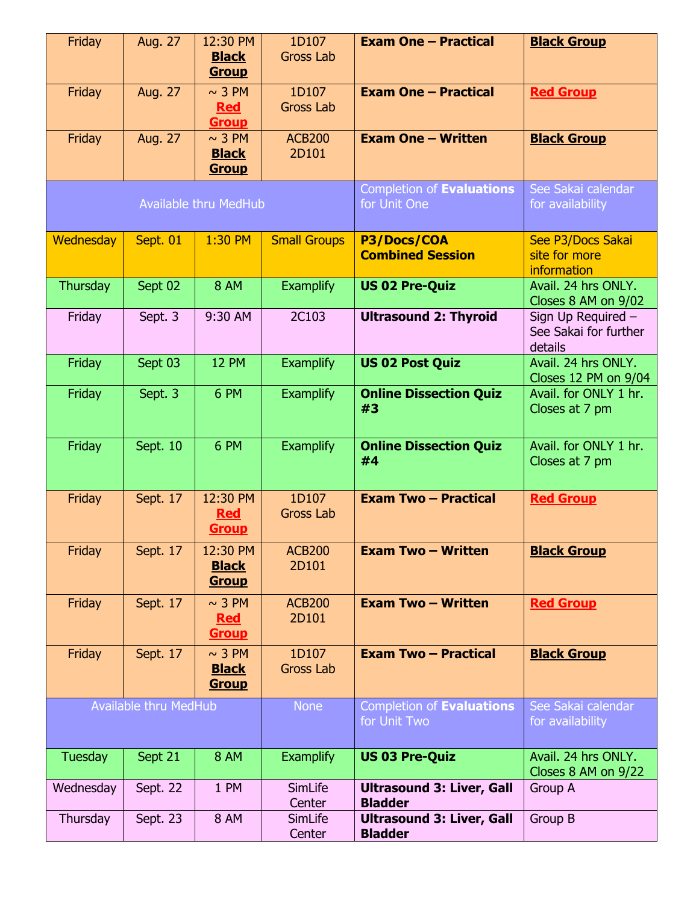| Friday         | Aug. 27                      | 12:30 PM                     | 1D107               | <b>Exam One - Practical</b>                        | <b>Black Group</b>                         |
|----------------|------------------------------|------------------------------|---------------------|----------------------------------------------------|--------------------------------------------|
|                |                              | <b>Black</b><br><b>Group</b> | <b>Gross Lab</b>    |                                                    |                                            |
| Friday         | <b>Aug. 27</b>               | $\sim$ 3 PM                  | 1D107               | <b>Exam One - Practical</b>                        | <b>Red Group</b>                           |
|                |                              | <b>Red</b><br><b>Group</b>   | <b>Gross Lab</b>    |                                                    |                                            |
| Friday         | Aug. 27                      | $\sim$ 3 PM                  | <b>ACB200</b>       | <b>Exam One - Written</b>                          | <b>Black Group</b>                         |
|                |                              | <b>Black</b><br><u>Group</u> | 2D101               |                                                    |                                            |
|                |                              |                              |                     | Completion of Evaluations                          | See Sakai calendar                         |
|                |                              | <b>Available thru MedHub</b> |                     | for Unit One                                       | for availability                           |
| Wednesday      | Sept. 01                     | 1:30 PM                      | <b>Small Groups</b> | P3/Docs/COA                                        | See P3/Docs Sakai                          |
|                |                              |                              |                     | <b>Combined Session</b>                            | site for more<br>information               |
| Thursday       | Sept 02                      | <b>8 AM</b>                  | <b>Examplify</b>    | <b>US 02 Pre-Quiz</b>                              | Avail. 24 hrs ONLY.<br>Closes 8 AM on 9/02 |
| Friday         | Sept. 3                      | 9:30 AM                      | 2C103               | <b>Ultrasound 2: Thyroid</b>                       | Sign Up Required -                         |
|                |                              |                              |                     |                                                    | See Sakai for further<br>details           |
| Friday         | Sept 03                      | <b>12 PM</b>                 | <b>Examplify</b>    | <b>US 02 Post Quiz</b>                             | Avail. 24 hrs ONLY.                        |
|                |                              |                              |                     |                                                    | Closes 12 PM on 9/04                       |
| Friday         | Sept. 3                      | 6 PM                         | <b>Examplify</b>    | <b>Online Dissection Quiz</b><br>#3                | Avail. for ONLY 1 hr.<br>Closes at 7 pm    |
|                |                              |                              |                     |                                                    |                                            |
| Friday         | Sept. 10                     | 6 PM                         | <b>Examplify</b>    | <b>Online Dissection Quiz</b>                      | Avail. for ONLY 1 hr.                      |
|                |                              |                              |                     | #4                                                 | Closes at 7 pm                             |
| Friday         | Sept. 17                     | 12:30 PM                     | 1D107               | <b>Exam Two - Practical</b>                        | <b>Red Group</b>                           |
|                |                              | <b>Red</b><br><u>Group</u>   | <b>Gross Lab</b>    |                                                    |                                            |
| Friday         | Sept. 17                     | 12:30 PM                     | <b>ACB200</b>       | <b>Exam Two - Written</b>                          | <b>Black Group</b>                         |
|                |                              | <b>Black</b><br><b>Group</b> | 2D101               |                                                    |                                            |
| Friday         | Sept. 17                     | $\sim$ 3 PM                  | <b>ACB200</b>       | <b>Exam Two - Written</b>                          | <b>Red Group</b>                           |
|                |                              | <b>Red</b><br><u>Group</u>   | 2D101               |                                                    |                                            |
| Friday         | Sept. 17                     | $\sim$ 3 PM                  | 1D107               | <b>Exam Two - Practical</b>                        | <b>Black Group</b>                         |
|                |                              | <b>Black</b><br><u>Group</u> | <b>Gross Lab</b>    |                                                    |                                            |
|                | <b>Available thru MedHub</b> |                              | <b>None</b>         | Completion of Evaluations                          | See Sakai calendar                         |
|                |                              |                              |                     | for Unit Two                                       | for availability                           |
| <b>Tuesday</b> | Sept 21                      | <b>8 AM</b>                  | <b>Examplify</b>    | <b>US 03 Pre-Quiz</b>                              | Avail. 24 hrs ONLY.<br>Closes 8 AM on 9/22 |
| Wednesday      | Sept. 22                     | 1 PM                         | SimLife<br>Center   | <b>Ultrasound 3: Liver, Gall</b><br><b>Bladder</b> | <b>Group A</b>                             |
| Thursday       | Sept. 23                     | <b>8 AM</b>                  | SimLife             | <b>Ultrasound 3: Liver, Gall</b><br><b>Bladder</b> | Group B                                    |
|                |                              |                              | Center              |                                                    |                                            |